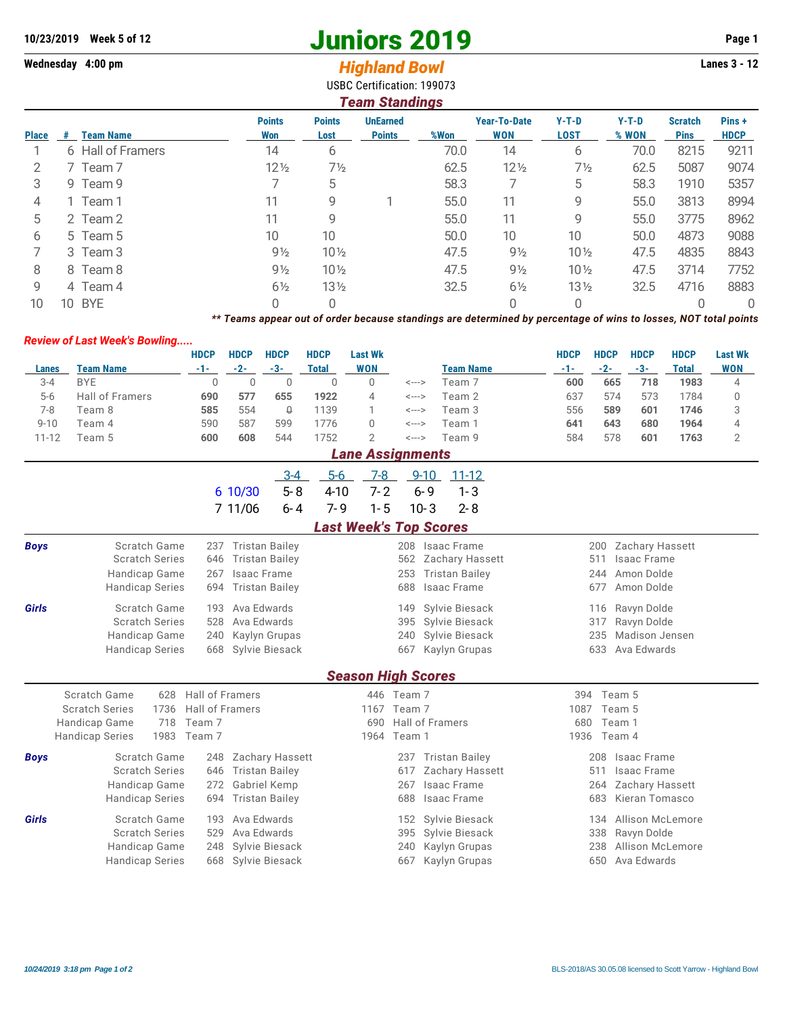## **10/23/2019** Week 5 of 12<br> **10/23/2019** Page 1<br> **14/2019** Page 1<br> **14/2019** Page 1<br> **14/2019** Page 1<br> **14/2019** Page 1<br> **14/2019** Page 1

## Wednesday 4:00 pm<br> **Highland Bowl**

USBC Certification: 199073

| Team Standings |    |                   |                      |                       |                                  |      |                                   |                        |                  |                               |                      |  |
|----------------|----|-------------------|----------------------|-----------------------|----------------------------------|------|-----------------------------------|------------------------|------------------|-------------------------------|----------------------|--|
| <b>Place</b>   | #  | <b>Team Name</b>  | <b>Points</b><br>Won | <b>Points</b><br>Lost | <b>UnEarned</b><br><b>Points</b> | %Won | <b>Year-To-Date</b><br><b>WON</b> | $Y-T-D$<br><b>LOST</b> | $Y-T-D$<br>% WON | <b>Scratch</b><br><b>Pins</b> | Pins+<br><b>HDCP</b> |  |
|                |    | 6 Hall of Framers | 14                   | 6                     |                                  | 70.0 | 14                                | 6                      | 70.0             | 8215                          | 9211                 |  |
|                |    | 7 Team 7          | $12\frac{1}{2}$      | $7\frac{1}{2}$        |                                  | 62.5 | $12\frac{1}{2}$                   | $7\frac{1}{2}$         | 62.5             | 5087                          | 9074                 |  |
| 3              |    | 9 Team 9          |                      | 5                     |                                  | 58.3 |                                   | 5                      | 58.3             | 1910                          | 5357                 |  |
| 4              |    | 1 Team 1          | 11                   | 9                     |                                  | 55.0 | 11                                | 9                      | 55.0             | 3813                          | 8994                 |  |
| 5              |    | 2 Team 2          | 11                   | 9                     |                                  | 55.0 | 11                                | 9                      | 55.0             | 3775                          | 8962                 |  |
| 6              |    | 5 Team 5          | 10 <sup>°</sup>      | 10                    |                                  | 50.0 | 10                                | 10                     | 50.0             | 4873                          | 9088                 |  |
|                |    | 3 Team 3          | $9\frac{1}{2}$       | $10\frac{1}{2}$       |                                  | 47.5 | $9\frac{1}{2}$                    | $10\frac{1}{2}$        | 47.5             | 4835                          | 8843                 |  |
| 8              |    | 8 Team 8          | $9\frac{1}{2}$       | $10\frac{1}{2}$       |                                  | 47.5 | $9\frac{1}{2}$                    | $10\frac{1}{2}$        | 47.5             | 3714                          | 7752                 |  |
| 9              |    | 4 Team 4          | $6\frac{1}{2}$       | $13\frac{1}{2}$       |                                  | 32.5 | $6\frac{1}{2}$                    | $13\frac{1}{2}$        | 32.5             | 4716                          | 8883                 |  |
| 10             | 10 | <b>BYE</b>        | 0                    | 0                     |                                  |      | 0                                 | 0                      |                  |                               | 0                    |  |

*\*\* Teams appear out of order because standings are determined by percentage of wins to losses, NOT total points*

## *Review of Last Week's Bowling.....*

|           |                         | <b>HDCP</b> | <b>HDCP</b> | <b>HDCP</b> | <b>HDCP</b> | Last Wk        |       |                  | <b>HDCP</b> | <b>HDCP</b> | <b>HDCP</b> | <b>HDCP</b> | <b>Last Wk</b> |
|-----------|-------------------------|-------------|-------------|-------------|-------------|----------------|-------|------------------|-------------|-------------|-------------|-------------|----------------|
| Lanes     | Team Name               | -1-         | -2-         | -3-         | Total       | <b>WON</b>     |       | <b>Team Name</b> | -1-         | $-2-$       | $-3-$       | Total       | <b>WON</b>     |
| $3 - 4$   | <b>BYE</b>              |             |             |             |             |                | <---> | Team 7           | 600         | 665         | 718         | 1983        | 4              |
| $5-6$     | <b>Hall of Framers</b>  | 690         | 577         | 655         | 1922        | $\overline{4}$ | <---> | Team 2           | 637         | 574         | 573         | 1784        |                |
| 7-8       | Team 8                  | 585         | 554         | 0           | 1139        |                | <---> | Team 3           | 556         | 589         | 601         | 1746        |                |
| $9 - 10$  | Team 4                  | 590         | 587         | 599         | 1776        |                | <---> | Team 1           | 641         | 643         | 680         | 1964        |                |
| $11 - 12$ | Team 5                  | 600         | 608         | 544         | 1752        |                | <---> | Team 9           | 584         | 578         | 601         | 1763        |                |
|           | <b>Lane Assignments</b> |             |             |             |             |                |       |                  |             |             |             |             |                |

|                               |                                |                                       | $3 - 4$                | $5-6$<br>$7-8$            |                 | $9 - 10$ | $11 - 12$             |      |                           |  |  |  |
|-------------------------------|--------------------------------|---------------------------------------|------------------------|---------------------------|-----------------|----------|-----------------------|------|---------------------------|--|--|--|
|                               |                                |                                       | $5 - 8$<br>6 10/30     | $4 - 10$<br>$7 - 2$       |                 | $6 - 9$  | $1 - 3$               |      |                           |  |  |  |
|                               |                                |                                       | 7 11/06<br>$6 - 4$     | $1 - 5$<br>$7 - 9$        |                 | $10 - 3$ | $2 - 8$               |      |                           |  |  |  |
| <b>Last Week's Top Scores</b> |                                |                                       |                        |                           |                 |          |                       |      |                           |  |  |  |
| <b>Boys</b>                   | Scratch Game                   | 237                                   | <b>Tristan Bailey</b>  |                           | 208             |          | Isaac Frame           |      | Zachary Hassett<br>200    |  |  |  |
|                               | <b>Scratch Series</b>          | 646                                   | <b>Tristan Bailey</b>  |                           | 562             |          | Zachary Hassett       |      | <b>Isaac Frame</b><br>511 |  |  |  |
|                               | Handicap Game                  | 267                                   | Isaac Frame            |                           | 253             |          | <b>Tristan Bailey</b> |      | Amon Dolde<br>244         |  |  |  |
|                               | <b>Handicap Series</b>         | 694                                   | <b>Tristan Bailey</b>  |                           | 688             |          | Isaac Frame           |      | 677<br>Amon Dolde         |  |  |  |
| <b>Girls</b>                  | Scratch Game                   | 193                                   | Ava Edwards            |                           | 149             |          | Sylvie Biesack        |      | Ravyn Dolde<br>116        |  |  |  |
|                               | <b>Scratch Series</b>          | 528                                   | Ava Edwards            |                           | 395             |          | Sylvie Biesack        |      | Ravyn Dolde<br>317        |  |  |  |
|                               |                                | Handicap Game<br>Kaylyn Grupas<br>240 |                        |                           |                 |          | Sylvie Biesack        |      | Madison Jensen<br>235     |  |  |  |
|                               | <b>Handicap Series</b>         | 668                                   | Sylvie Biesack         |                           | 667             |          | Kaylyn Grupas         |      | Ava Edwards<br>633        |  |  |  |
|                               |                                |                                       |                        |                           |                 |          |                       |      |                           |  |  |  |
|                               |                                |                                       |                        | <b>Season High Scores</b> |                 |          |                       |      |                           |  |  |  |
|                               | Scratch Game<br>628            | <b>Hall of Framers</b>                |                        |                           | 446 Team 7      |          |                       | 394  | Team 5                    |  |  |  |
|                               | <b>Scratch Series</b><br>1736  | <b>Hall of Framers</b>                |                        | 1167                      | Team 7          |          |                       | 1087 | Team 5                    |  |  |  |
|                               | <b>Handicap Game</b><br>718    | Team 7                                |                        | 690                       | Hall of Framers |          |                       | 680  | Team 1                    |  |  |  |
|                               | 1983<br><b>Handicap Series</b> | Team 7                                |                        |                           | 1964 Team 1     |          |                       | 1936 | Team 4                    |  |  |  |
| <b>Boys</b>                   | Scratch Game                   | 248                                   | <b>Zachary Hassett</b> |                           | 237             |          | <b>Tristan Bailey</b> |      | Isaac Frame<br>208        |  |  |  |
|                               | <b>Scratch Series</b>          | 646                                   | <b>Tristan Bailey</b>  |                           | 617             |          | Zachary Hassett       |      | <b>Isaac Frame</b><br>511 |  |  |  |
|                               | Handicap Game                  | 272                                   | Gabriel Kemp           |                           | 267             |          | <b>Isaac Frame</b>    |      | Zachary Hassett<br>264    |  |  |  |
|                               | <b>Handicap Series</b>         | 694                                   | <b>Tristan Bailey</b>  |                           | 688             |          | <b>Isaac Frame</b>    |      | 683<br>Kieran Tomasco     |  |  |  |
| Girls                         | Scratch Game                   | 193                                   | Ava Edwards            |                           | 152             |          | Sylvie Biesack        |      | Allison McLemore<br>134   |  |  |  |
|                               | <b>Scratch Series</b>          | 529                                   | Ava Edwards            |                           | 395             |          | Sylvie Biesack        |      | 338<br>Ravyn Dolde        |  |  |  |
|                               | Handicap Game                  | 248                                   | Sylvie Biesack         |                           | 240             |          | Kaylyn Grupas         |      | 238<br>Allison McLemore   |  |  |  |
|                               | <b>Handicap Series</b>         | 668                                   | Sylvie Biesack         |                           | 667             |          | Kaylyn Grupas         |      | Ava Edwards<br>650        |  |  |  |
|                               |                                |                                       |                        |                           |                 |          |                       |      |                           |  |  |  |